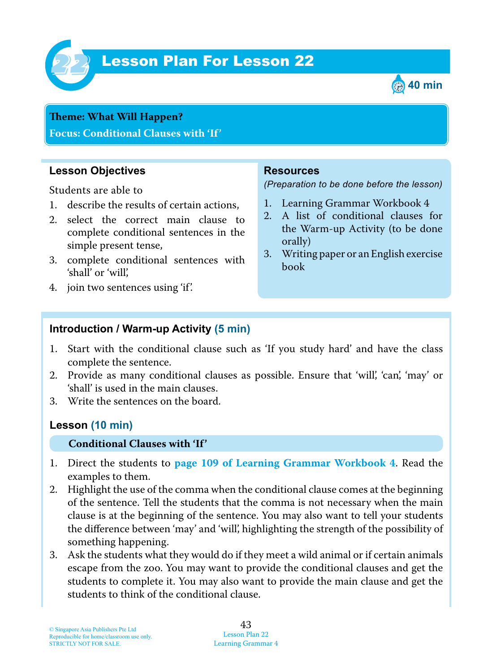

# **Lesson Plan For Lesson 22**



# **Theme: What Will Happen?**

**Focus: Conditional Clauses with 'If'**

### **Lesson Objectives**

Students are able to

- 1. describe the results of certain actions,
- 2. select the correct main clause to complete conditional sentences in the simple present tense,
- 3. complete conditional sentences with 'shall' or 'will',
- 4. join two sentences using 'if'.

#### **Resources**

*(Preparation to be done before the lesson)*

- 1. Learning Grammar Workbook 4
- 2. A list of conditional clauses for the Warm-up Activity (to be done orally)
- 3. Writing paper or an English exercise book

### **Introduction / Warm-up Activity (5 min)**

- 1. Start with the conditional clause such as 'If you study hard' and have the class complete the sentence.
- 2. Provide as many conditional clauses as possible. Ensure that 'will', 'can', 'may' or 'shall' is used in the main clauses.
- 3. Write the sentences on the board.

### **Lesson (10 min)**

#### **Conditional Clauses with 'If'**

- 1. Direct the students to **page 109 of Learning Grammar Workbook 4**. Read the examples to them.
- 2. Highlight the use of the comma when the conditional clause comes at the beginning of the sentence. Tell the students that the comma is not necessary when the main clause is at the beginning of the sentence. You may also want to tell your students the difference between 'may' and 'will', highlighting the strength of the possibility of something happening.
- 3. Ask the students what they would do if they meet a wild animal or if certain animals escape from the zoo. You may want to provide the conditional clauses and get the students to complete it. You may also want to provide the main clause and get the students to think of the conditional clause.